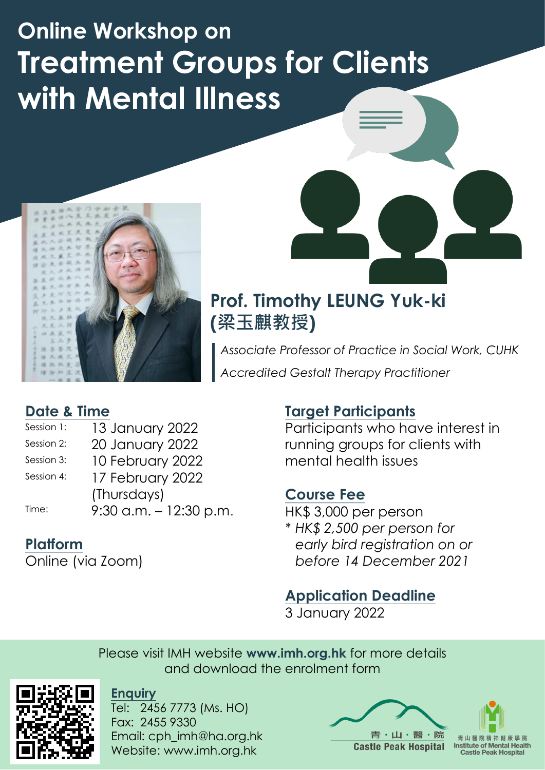# **Online Workshop on Treatment Groups for Clients with Mental Illness**



#### **Date & Time**

- Session 1: 13 January 2022 Session 2: 20 January 2022 Session 3: 10 February 2022
- Session 4: 17 February 2022 (Thursdays)

Time: 9:30 a.m. – 12:30 p.m.

## **Platform**

Online (via Zoom)

#### **Target Participants**

Participants who have interest in running groups for clients with mental health issues

#### **Course Fee**

HK\$ 3,000 per person

*\* HK\$ 2,500 per person for early bird registration on or before 14 December 2021*

## **Application Deadline**

3 January 2022

Please visit IMH website **www.imh.org.hk** for more details and download the enrolment form



**Enquiry**

Tel: 2456 7773 (Ms. HO) Fax: 2455 9330 Email: cph\_imh@ha.org.hk Website: www.imh.org.hk

・山・醫・院 **Castle Peak Hospital Institute of Mental Health Castle Peak Hospital** 

# **Prof. Timothy LEUNG Yuk-ki (梁玉麒教授)**

*Associate Professor of Practice in Social Work, CUHK Accredited Gestalt Therapy Practitioner*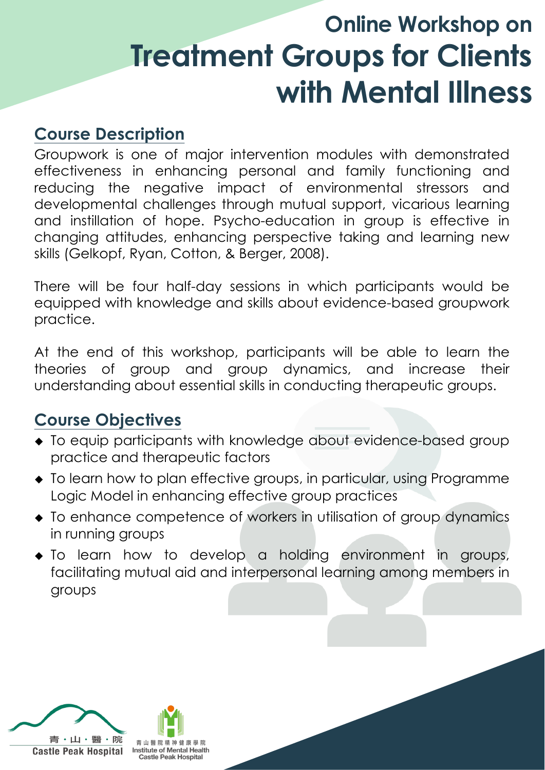# **Online Workshop on Treatment Groups for Clients with Mental Illness**

## **Course Description**

Groupwork is one of major intervention modules with demonstrated effectiveness in enhancing personal and family functioning and reducing the negative impact of environmental stressors and developmental challenges through mutual support, vicarious learning and instillation of hope. Psycho-education in group is effective in changing attitudes, enhancing perspective taking and learning new skills (Gelkopf, Ryan, Cotton, & Berger, 2008).

There will be four half-day sessions in which participants would be equipped with knowledge and skills about evidence-based groupwork practice.

At the end of this workshop, participants will be able to learn the theories of group and group dynamics, and increase their understanding about essential skills in conducting therapeutic groups.

## **Course Objectives**

- To equip participants with knowledge about evidence-based group practice and therapeutic factors
- To learn how to plan effective groups, in particular, using Programme Logic Model in enhancing effective group practices
- To enhance competence of workers in utilisation of group dynamics in running groups
- To learn how to develop a holding environment in groups, facilitating mutual aid and interpersonal learning among members in groups

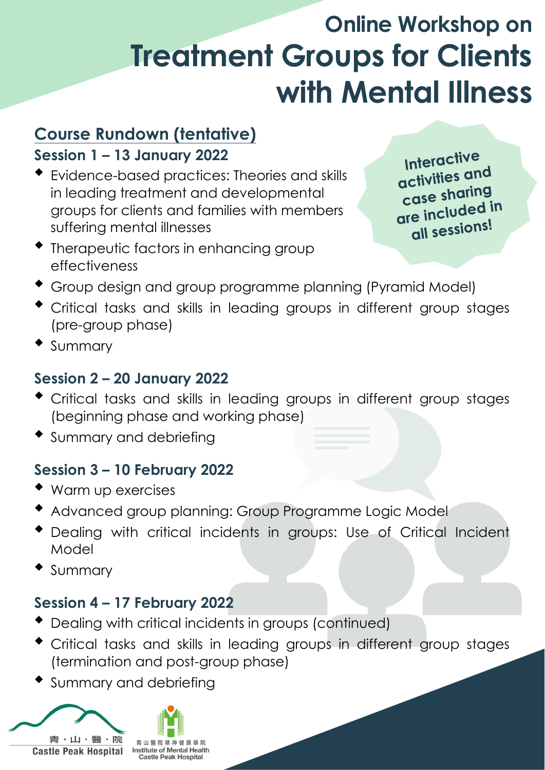# **Online Workshop on Treatment Groups for Clients with Mental Illness**

# **Course Rundown (tentative)**

### **Session 1 – 13 January 2022**

 Evidence-based practices: Theories and skills in leading treatment and developmental groups for clients and families with members suffering mental illnesses

Interactive activities and case sharing are included in all sessions!

- Therapeutic factors in enhancing group effectiveness
- Group design and group programme planning (Pyramid Model)
- Critical tasks and skills in leading groups in different group stages (pre-group phase)
- Summary

- Dealing with critical incidents in groups (continued)
- Critical tasks and skills in leading groups in different group stages (termination and post-group phase)
- Summary and debriefing



#### **Session 2 – 20 January 2022**

- Critical tasks and skills in leading groups in different group stages (beginning phase and working phase)
- Summary and debriefing

### **Session 3 – 10 February 2022**

- Warm up exercises
- Advanced group planning: Group Programme Logic Model
- Dealing with critical incidents in groups: Use of Critical Incident Model
- Summary

#### **Session 4 – 17 February 2022**